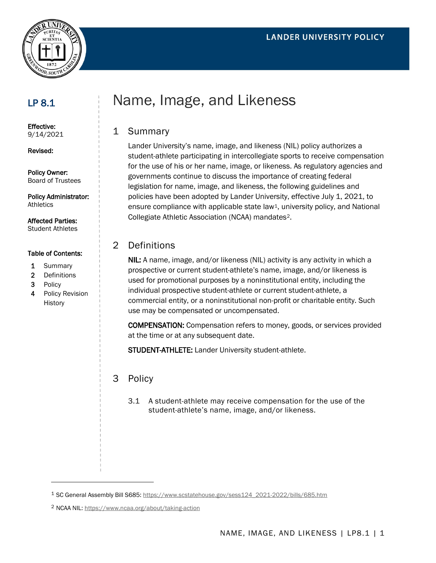



## LP 8.1

Effective: 9/14/2021

Revised:

Policy Owner: Board of Trustees

Policy Administrator: Athletics

Affected Parties: Student Athletes

#### Table of Contents:

- 1 Summary
- 2 Definitions
- 3 Policy
- 4 Policy Revision History

# Name, Image, and Likeness

#### 1 Summary

Lander University's name, image, and likeness (NIL) policy authorizes a student-athlete participating in intercollegiate sports to receive compensation for the use of his or her name, image, or likeness. As regulatory agencies and governments continue to discuss the importance of creating federal legislation for name, image, and likeness, the following guidelines and policies have been adopted by Lander University, effective July 1, 2021, to ensure compliance with applicable state law<sup>1</sup>, university policy, and National Collegiate Athletic Association (NCAA) mandates[2](#page-0-1).

#### 2 Definitions

NIL: A name, image, and/or likeness (NIL) activity is any activity in which a prospective or current student-athlete's name, image, and/or likeness is used for promotional purposes by a noninstitutional entity, including the individual prospective student-athlete or current student-athlete, a commercial entity, or a noninstitutional non-profit or charitable entity. Such use may be compensated or uncompensated.

COMPENSATION: Compensation refers to money, goods, or services provided at the time or at any subsequent date.

STUDENT-ATHLETE: Lander University student-athlete.

### 3 Policy

3.1 A student-athlete may receive compensation for the use of the student-athlete's name, image, and/or likeness.

<span id="page-0-1"></span><sup>2</sup> NCAA NIL:<https://www.ncaa.org/about/taking-action>

<span id="page-0-0"></span><sup>1</sup> SC General Assembly Bill S685: [https://www.scstatehouse.gov/sess124\\_2021-2022/bills/685.htm](https://www.scstatehouse.gov/sess124_2021-2022/bills/685.htm)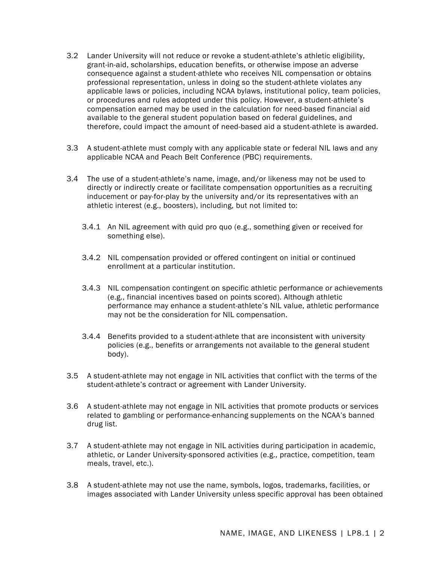- 3.2 Lander University will not reduce or revoke a student-athlete's athletic eligibility, grant-in-aid, scholarships, education benefits, or otherwise impose an adverse consequence against a student-athlete who receives NIL compensation or obtains professional representation, unless in doing so the student-athlete violates any applicable laws or policies, including NCAA bylaws, institutional policy, team policies, or procedures and rules adopted under this policy. However, a student-athlete's compensation earned may be used in the calculation for need-based financial aid available to the general student population based on federal guidelines, and therefore, could impact the amount of need-based aid a student-athlete is awarded.
- 3.3 A student-athlete must comply with any applicable state or federal NIL laws and any applicable NCAA and Peach Belt Conference (PBC) requirements.
- 3.4 The use of a student-athlete's name, image, and/or likeness may not be used to directly or indirectly create or facilitate compensation opportunities as a recruiting inducement or pay-for-play by the university and/or its representatives with an athletic interest (e.g., boosters), including, but not limited to:
	- 3.4.1 An NIL agreement with quid pro quo (e.g., something given or received for something else).
	- 3.4.2 NIL compensation provided or offered contingent on initial or continued enrollment at a particular institution.
	- 3.4.3 NIL compensation contingent on specific athletic performance or achievements (e.g., financial incentives based on points scored). Although athletic performance may enhance a student-athlete's NIL value, athletic performance may not be the consideration for NIL compensation.
	- 3.4.4 Benefits provided to a student-athlete that are inconsistent with university policies (e.g., benefits or arrangements not available to the general student body).
- 3.5 A student-athlete may not engage in NIL activities that conflict with the terms of the student-athlete's contract or agreement with Lander University.
- 3.6 A student-athlete may not engage in NIL activities that promote products or services related to gambling or performance-enhancing supplements on the NCAA's banned drug list.
- 3.7 A student-athlete may not engage in NIL activities during participation in academic, athletic, or Lander University-sponsored activities (e.g., practice, competition, team meals, travel, etc.).
- 3.8 A student-athlete may not use the name, symbols, logos, trademarks, facilities, or images associated with Lander University unless specific approval has been obtained